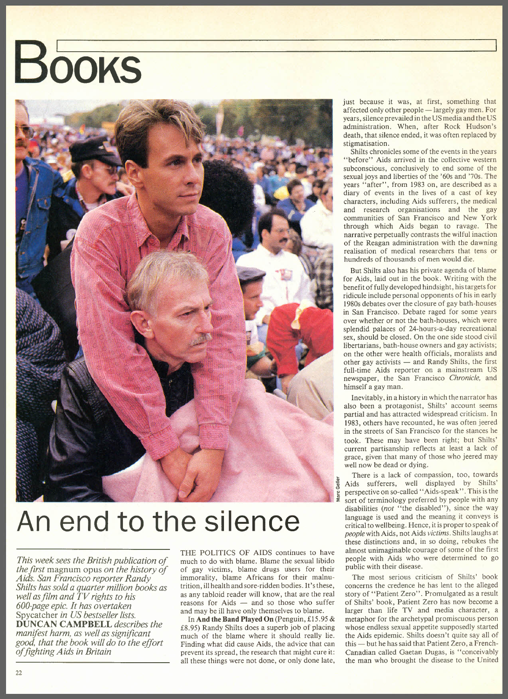## **Books**



## **An end to the silence**

*This week sees the British publication of the first* magnum opus *on the history of Aids. San Francisco reporter Randy Shifts has sold a quarter million books as well asfilm and TV rights to his 600-page epic. It has overtaken* Spycatcher *in US bestseller lists.* DUN CAN **CAMPBELL** *describes the manifest harm, as well as significant good, that the book will do to the effort offighting Aids in Britain*

THE POLITICS OF AIDS continues to have much to do with blame. Blame the sexual libido of gay victims, blame drugs users for their immorality, blame Africans for their malnutrition, illhealth and sore-ridden bodies. It's these, as any tabloid reader will know, that are the real  $reasons$  for Aids  $-$  and so those who suffer and may be ill have only themselves to blame.

In **And the Band Played On** (Penguin, £15.95 & £8.95) Randy Shilts does a superb job of placing much of the blame where it should really lie. Finding what did cause Aids, the advice that can prevent its spread, the research that might cure it: all these things were not done, or only done late,

just because it was, at first, something that affected only other people  $-$  largely gay men. For years, silence prevailed in the US media and the US administration. When, after Rock Hudson's death, that silence ended, it was often replaced by stigmatisation.

Shilts chronicles some of the events in the years "before" Aids arrived in the collective western subconscious, conclusively to end some of the sexual joys and liberties of the '60s and '70s. The years "after", from 1983 on, are described as a diary of events in the lives of a cast of key characters, including Aids sufferers, the medical and research organisations and the gay communities of San Francisco and New York through which Aids began to ravage. The narrative perpetually contrasts the wilful inaction of the Reagan administration with the dawning realisation of medical researchers that tens or hundreds of thousands of men would die.

But Shilts also has his private agenda of blame for Aids, laid out in the book. Writing with the benefit of fully developed hindsight, histargets for ridicule include personal opponents of his in early 1980s debates over the closure of gay bath-houses in San Francisco. Debate raged for some years over whether or not the bath-houses, which were splendid palaces of 24-hours-a-day recreational sex, should be closed. On the one side stood civil libertarians, bath-house owners and gay activists; on the other were health officials, moralists and other gay activists  $-$  and Randy Shilts, the first full-time Aids reporter on a mainstream US newspaper, the San Francisco *Chronicle,* and himself a gay man.

Inevitably, in a history in which the narrator has also been a protagonist, Shilts' account seems partial and has attracted widespread criticism. In 1983, others have recounted, he was often jeered in the streets of San Francisco for the stances he took. These may have been right; but Shilts' current partisanship reflects at least a lack of grace, given that many of those who jeered may well now be dead or dying.

There is a lack of compassion, too, towards Aids sufferers, well displayed by Shilts' perspective on so-called "Aids-speak". This is the sort of terminology preferred by people with any disabilities *(not* "the disabled"), since the way language is used and the meaning it conveys is critical to wellbeing. Hence, it isproper to speak of *people* with Aids, not Aids *victims.* Shilts laughs at these distinctions and, in so doing, rebukes the almost unimaginable courage of some of the first people with Aids who were determined to go public with their disease.

The most serious criticism of Shilts' book concerns the credence he has lent to the alleged story of "Patient Zero". Promulgated as a result of Shilts' book, Patient Zero has now become a larger than life TV and media character, a metaphor for the archetypal promiscuous person whose endless sexual appetite supposedly started the Aids epidemic. Shilts doesn't quite say all of this - but he has said that Patient Zero, a French-Canadian called Gaetan Dugas, is "conceivably the man who brought the disease to the United